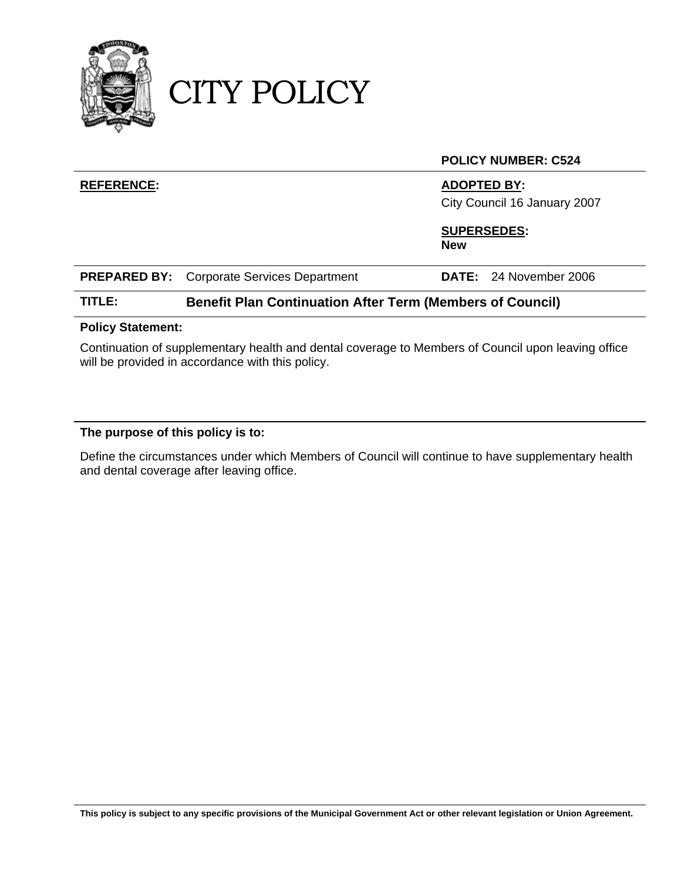

### CITY POLICY

### **POLICY NUMBER: C524**

### **REFERENCE: ADOPTED BY:**

City Council 16 January 2007

**SUPERSEDES: New** 

### **TITLE: Benefit Plan Continuation After Term (Members of Council)**

### **Policy Statement:**

Continuation of supplementary health and dental coverage to Members of Council upon leaving office will be provided in accordance with this policy.

#### **The purpose of this policy is to:**

Define the circumstances under which Members of Council will continue to have supplementary health and dental coverage after leaving office.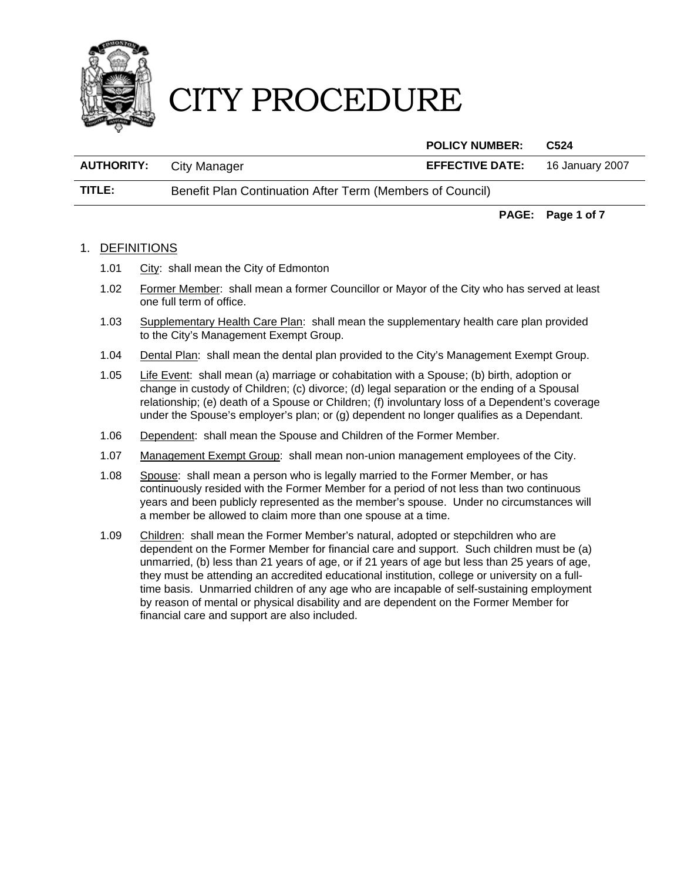

 **POLICY NUMBER: C524 AUTHORITY:** City Manager **EFFECTIVE DATE:** 16 January 2007 **TITLE:** Benefit Plan Continuation After Term (Members of Council)

#### **PAGE: Page 1 of 7**

#### 1. DEFINITIONS

- 1.01 City: shall mean the City of Edmonton
- 1.02 Former Member: shall mean a former Councillor or Mayor of the City who has served at least one full term of office.
- 1.03 Supplementary Health Care Plan: shall mean the supplementary health care plan provided to the City's Management Exempt Group.
- 1.04 Dental Plan: shall mean the dental plan provided to the City's Management Exempt Group.
- 1.05 Life Event: shall mean (a) marriage or cohabitation with a Spouse; (b) birth, adoption or change in custody of Children; (c) divorce; (d) legal separation or the ending of a Spousal relationship; (e) death of a Spouse or Children; (f) involuntary loss of a Dependent's coverage under the Spouse's employer's plan; or (g) dependent no longer qualifies as a Dependant.
- 1.06 Dependent: shall mean the Spouse and Children of the Former Member.
- 1.07 Management Exempt Group: shall mean non-union management employees of the City.
- 1.08 Spouse: shall mean a person who is legally married to the Former Member, or has continuously resided with the Former Member for a period of not less than two continuous years and been publicly represented as the member's spouse. Under no circumstances will a member be allowed to claim more than one spouse at a time.
- 1.09 Children: shall mean the Former Member's natural, adopted or stepchildren who are dependent on the Former Member for financial care and support. Such children must be (a) unmarried, (b) less than 21 years of age, or if 21 years of age but less than 25 years of age, they must be attending an accredited educational institution, college or university on a fulltime basis. Unmarried children of any age who are incapable of self-sustaining employment by reason of mental or physical disability and are dependent on the Former Member for financial care and support are also included.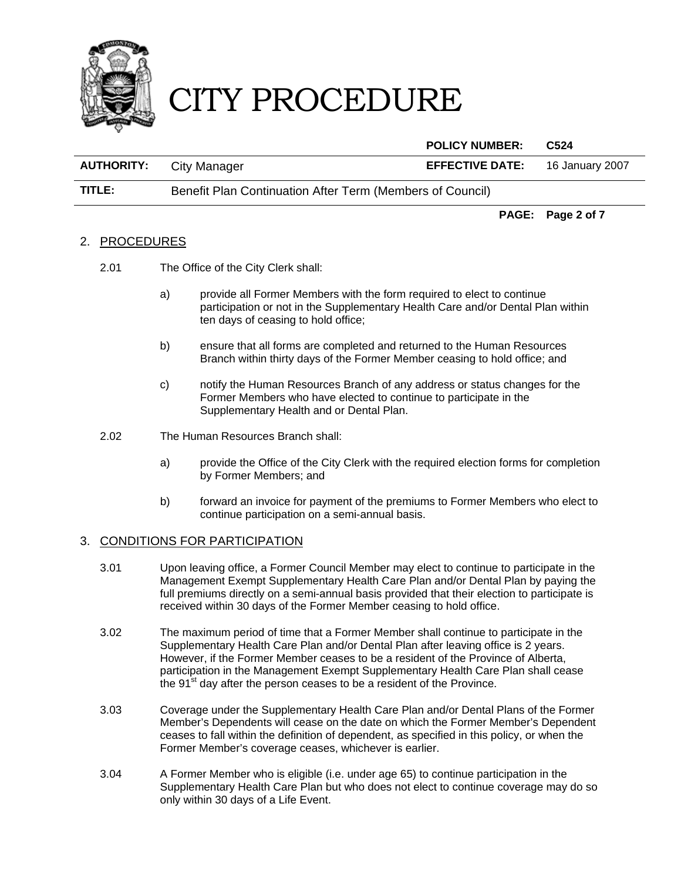

|                   |                                                           | <b>POLICY NUMBER:</b>  | C <sub>524</sub> |
|-------------------|-----------------------------------------------------------|------------------------|------------------|
| <b>AUTHORITY:</b> | City Manager                                              | <b>EFFECTIVE DATE:</b> | 16 January 2007  |
| TITLE:            | Benefit Plan Continuation After Term (Members of Council) |                        |                  |

#### 2. PROCEDURES

- 2.01 The Office of the City Clerk shall:
	- a) provide all Former Members with the form required to elect to continue participation or not in the Supplementary Health Care and/or Dental Plan within ten days of ceasing to hold office;

**PAGE: Page 2 of 7** 

- b) ensure that all forms are completed and returned to the Human Resources Branch within thirty days of the Former Member ceasing to hold office; and
- c) notify the Human Resources Branch of any address or status changes for the Former Members who have elected to continue to participate in the Supplementary Health and or Dental Plan.
- 2.02 The Human Resources Branch shall:
	- a) provide the Office of the City Clerk with the required election forms for completion by Former Members; and
	- b) forward an invoice for payment of the premiums to Former Members who elect to continue participation on a semi-annual basis.

#### 3. CONDITIONS FOR PARTICIPATION

- 3.01 Upon leaving office, a Former Council Member may elect to continue to participate in the Management Exempt Supplementary Health Care Plan and/or Dental Plan by paying the full premiums directly on a semi-annual basis provided that their election to participate is received within 30 days of the Former Member ceasing to hold office.
- 3.02 The maximum period of time that a Former Member shall continue to participate in the Supplementary Health Care Plan and/or Dental Plan after leaving office is 2 years. However, if the Former Member ceases to be a resident of the Province of Alberta, participation in the Management Exempt Supplementary Health Care Plan shall cease the 91<sup>st</sup> day after the person ceases to be a resident of the Province.
- 3.03 Coverage under the Supplementary Health Care Plan and/or Dental Plans of the Former Member's Dependents will cease on the date on which the Former Member's Dependent ceases to fall within the definition of dependent, as specified in this policy, or when the Former Member's coverage ceases, whichever is earlier.
- 3.04 A Former Member who is eligible (i.e. under age 65) to continue participation in the Supplementary Health Care Plan but who does not elect to continue coverage may do so only within 30 days of a Life Event.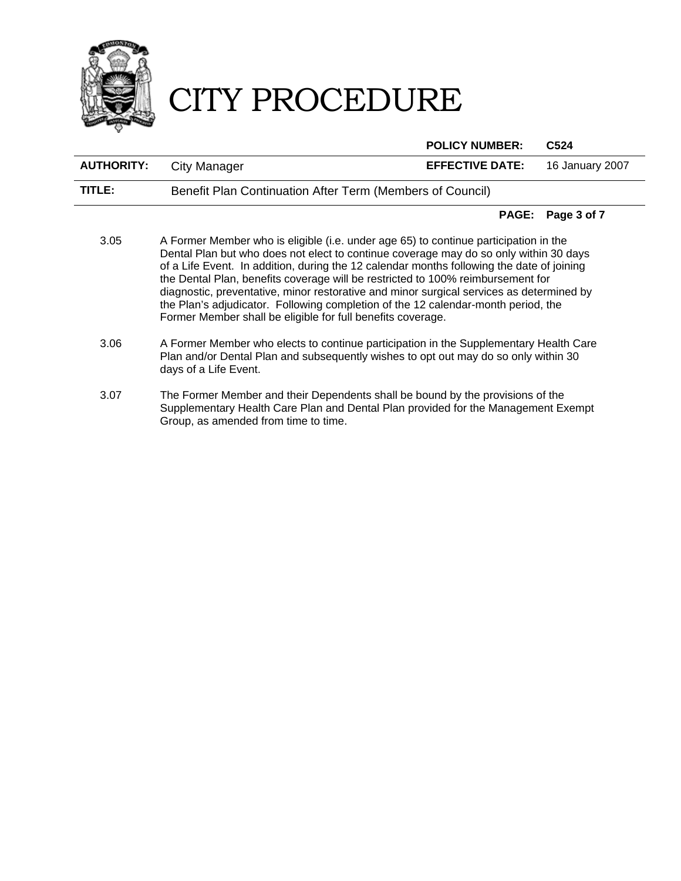

**POLICY NUMBER: C524** 

**AUTHORITY:** City Manager **EFFECTIVE DATE:** 16 January 2007 **TITLE:** Benefit Plan Continuation After Term (Members of Council)

#### **PAGE: Page 3 of 7**

- 3.05 A Former Member who is eligible (i.e. under age 65) to continue participation in the Dental Plan but who does not elect to continue coverage may do so only within 30 days of a Life Event. In addition, during the 12 calendar months following the date of joining the Dental Plan, benefits coverage will be restricted to 100% reimbursement for diagnostic, preventative, minor restorative and minor surgical services as determined by the Plan's adjudicator. Following completion of the 12 calendar-month period, the Former Member shall be eligible for full benefits coverage.
- 3.06 A Former Member who elects to continue participation in the Supplementary Health Care Plan and/or Dental Plan and subsequently wishes to opt out may do so only within 30 days of a Life Event.
- 3.07 The Former Member and their Dependents shall be bound by the provisions of the Supplementary Health Care Plan and Dental Plan provided for the Management Exempt Group, as amended from time to time.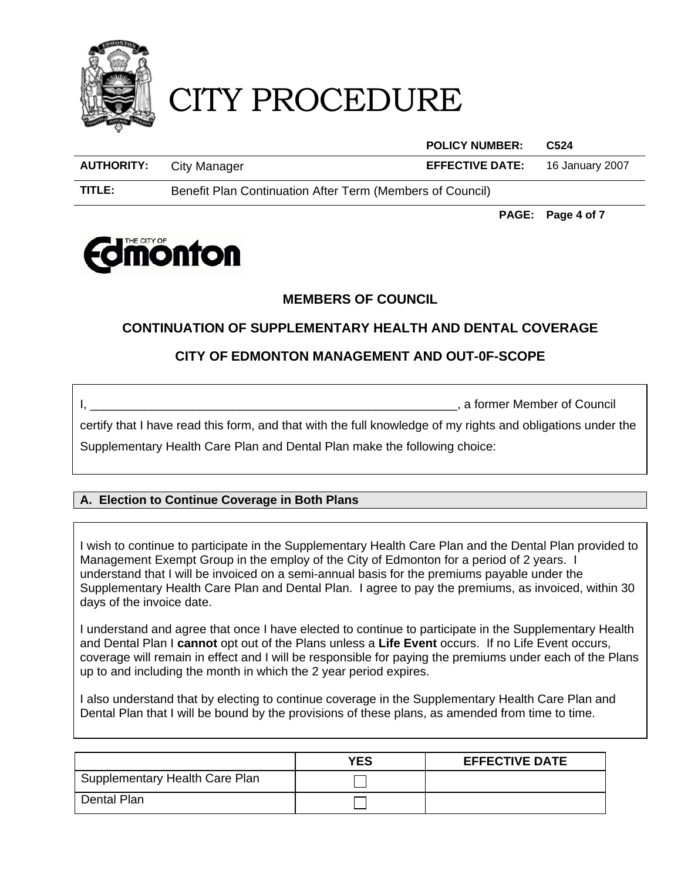

|                   |                                                           | <b>POLICY NUMBER:</b>  | C <sub>524</sub> |
|-------------------|-----------------------------------------------------------|------------------------|------------------|
| <b>AUTHORITY:</b> | City Manager                                              | <b>EFFECTIVE DATE:</b> | 16 January 2007  |
| TITLE:            | Benefit Plan Continuation After Term (Members of Council) |                        |                  |

**PAGE: Page 4 of 7** 



### **MEMBERS OF COUNCIL**

### **CONTINUATION OF SUPPLEMENTARY HEALTH AND DENTAL COVERAGE**

### **CITY OF EDMONTON MANAGEMENT AND OUT-0F-SCOPE**

I, The community of the community of the community of the community of the community of  $\sim$  1.1  $\sim$  1.1  $\sim$  1.1  $\sim$  1.1  $\sim$  1.1  $\sim$  1.1  $\sim$  1.1  $\sim$  1.1  $\sim$  1.1  $\sim$  1.1  $\sim$  1.1  $\sim$  1.1  $\sim$  1.1  $\sim$  1.1  $\sim$  1.1

certify that I have read this form, and that with the full knowledge of my rights and obligations under the Supplementary Health Care Plan and Dental Plan make the following choice:

### **A. Election to Continue Coverage in Both Plans**

I wish to continue to participate in the Supplementary Health Care Plan and the Dental Plan provided to Management Exempt Group in the employ of the City of Edmonton for a period of 2 years. I understand that I will be invoiced on a semi-annual basis for the premiums payable under the Supplementary Health Care Plan and Dental Plan. I agree to pay the premiums, as invoiced, within 30 days of the invoice date.

I understand and agree that once I have elected to continue to participate in the Supplementary Health and Dental Plan I **cannot** opt out of the Plans unless a **Life Event** occurs. If no Life Event occurs, coverage will remain in effect and I will be responsible for paying the premiums under each of the Plans up to and including the month in which the 2 year period expires.

I also understand that by electing to continue coverage in the Supplementary Health Care Plan and Dental Plan that I will be bound by the provisions of these plans, as amended from time to time.

|                                | <b>YES</b> | <b>EFFECTIVE DATE</b> |
|--------------------------------|------------|-----------------------|
| Supplementary Health Care Plan |            |                       |
| Dental Plan                    |            |                       |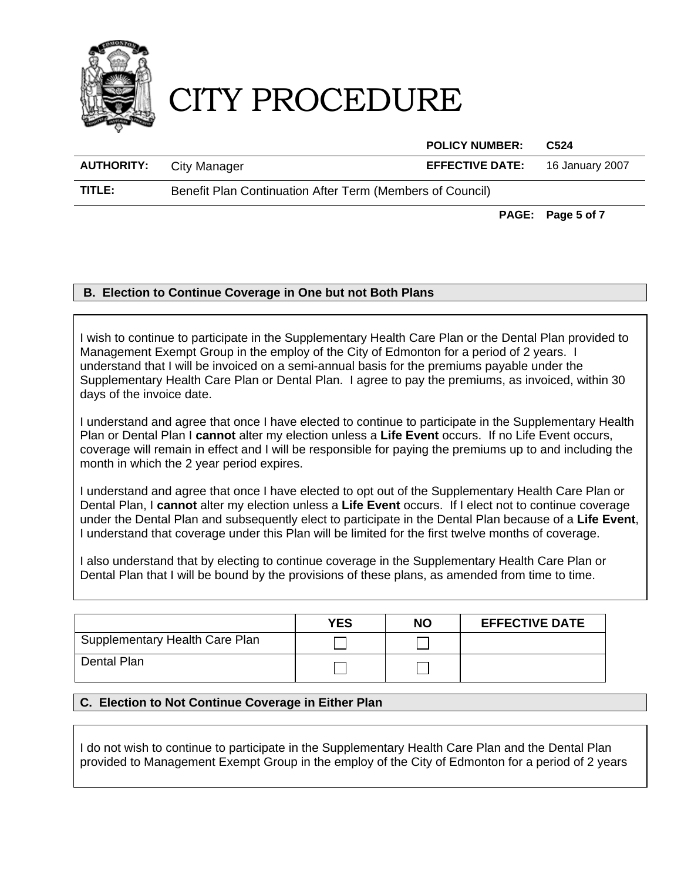

|                   |                                                           | <b>POLICY NUMBER:</b>  | C524            |
|-------------------|-----------------------------------------------------------|------------------------|-----------------|
| <b>AUTHORITY:</b> | City Manager                                              | <b>EFFECTIVE DATE:</b> | 16 January 2007 |
| TITLE:            | Benefit Plan Continuation After Term (Members of Council) |                        |                 |

**PAGE: Page 5 of 7** 

### **B. Election to Continue Coverage in One but not Both Plans**

I wish to continue to participate in the Supplementary Health Care Plan or the Dental Plan provided to Management Exempt Group in the employ of the City of Edmonton for a period of 2 years. I understand that I will be invoiced on a semi-annual basis for the premiums payable under the Supplementary Health Care Plan or Dental Plan. I agree to pay the premiums, as invoiced, within 30 days of the invoice date.

I understand and agree that once I have elected to continue to participate in the Supplementary Health Plan or Dental Plan I **cannot** alter my election unless a **Life Event** occurs. If no Life Event occurs, coverage will remain in effect and I will be responsible for paying the premiums up to and including the month in which the 2 year period expires.

I understand and agree that once I have elected to opt out of the Supplementary Health Care Plan or Dental Plan, I **cannot** alter my election unless a **Life Event** occurs. If I elect not to continue coverage under the Dental Plan and subsequently elect to participate in the Dental Plan because of a **Life Event**, I understand that coverage under this Plan will be limited for the first twelve months of coverage.

I also understand that by electing to continue coverage in the Supplementary Health Care Plan or Dental Plan that I will be bound by the provisions of these plans, as amended from time to time.

|                                | <b>YES</b> | <b>NO</b> | <b>EFFECTIVE DATE</b> |
|--------------------------------|------------|-----------|-----------------------|
| Supplementary Health Care Plan |            |           |                       |
| Dental Plan                    |            |           |                       |

### **C. Election to Not Continue Coverage in Either Plan**

I do not wish to continue to participate in the Supplementary Health Care Plan and the Dental Plan provided to Management Exempt Group in the employ of the City of Edmonton for a period of 2 years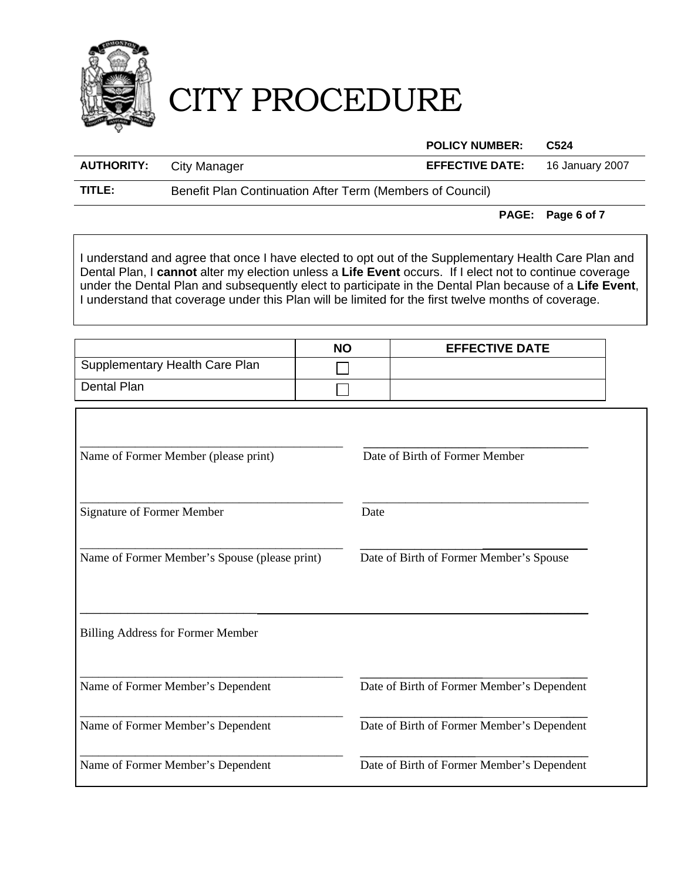

 **POLICY NUMBER: C524 AUTHORITY:** City Manager **EFFECTIVE DATE:** 16 January 2007

**TITLE:** Benefit Plan Continuation After Term (Members of Council)

**PAGE: Page 6 of 7** 

I understand and agree that once I have elected to opt out of the Supplementary Health Care Plan and Dental Plan, I **cannot** alter my election unless a **Life Event** occurs. If I elect not to continue coverage under the Dental Plan and subsequently elect to participate in the Dental Plan because of a **Life Event**, I understand that coverage under this Plan will be limited for the first twelve months of coverage.

|                                | <b>NO</b> | <b>EFFECTIVE DATE</b> |
|--------------------------------|-----------|-----------------------|
| Supplementary Health Care Plan |           |                       |
| Dental Plan                    |           |                       |

| Name of Former Member (please print)          | Date of Birth of Former Member             |
|-----------------------------------------------|--------------------------------------------|
| <b>Signature of Former Member</b>             | Date                                       |
| Name of Former Member's Spouse (please print) | Date of Birth of Former Member's Spouse    |
|                                               |                                            |
| Billing Address for Former Member             |                                            |
| Name of Former Member's Dependent             | Date of Birth of Former Member's Dependent |
| Name of Former Member's Dependent             | Date of Birth of Former Member's Dependent |